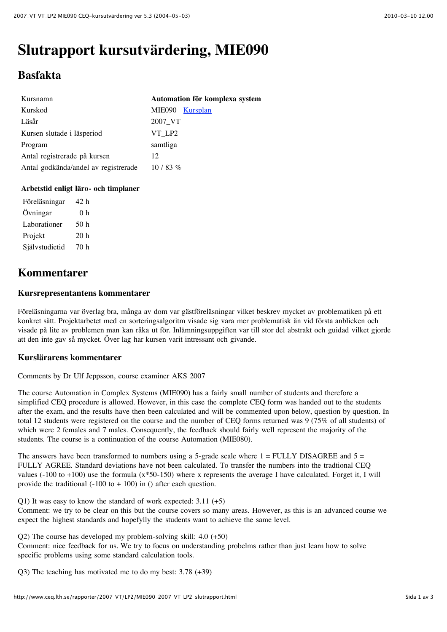# **Slutrapport kursutvärdering, MIE090**

## **Basfakta**

| Kursnamn                             | Automation för komplexa system |
|--------------------------------------|--------------------------------|
| Kurskod                              | MIE090<br>Kursplan             |
| Läsår                                | 2007 VT                        |
| Kursen slutade i läsperiod           | VT_LP2                         |
| Program                              | samtliga                       |
| Antal registrerade på kursen         | 12                             |
| Antal godkända/andel av registrerade | $10/83\%$                      |
|                                      |                                |

#### **Arbetstid enligt läro- och timplaner**

| Föreläsningar  | 42 h            |
|----------------|-----------------|
| Övningar       | 0 h             |
| Laborationer   | 50 <sub>h</sub> |
| Projekt        | 20 <sub>h</sub> |
| Självstudietid | 70 h            |

## **Kommentarer**

### **Kursrepresentantens kommentarer**

Föreläsningarna var överlag bra, många av dom var gästföreläsningar vilket beskrev mycket av problematiken på ett konkret sätt. Projektarbetet med en sorteringsalgoritm visade sig vara mer problematisk än vid första anblicken och visade på lite av problemen man kan råka ut för. Inlämningsuppgiften var till stor del abstrakt och guidad vilket gjorde att den inte gav så mycket. Över lag har kursen varit intressant och givande.

### **Kurslärarens kommentarer**

Comments by Dr Ulf Jeppsson, course examiner AKS 2007

The course Automation in Complex Systems (MIE090) has a fairly small number of students and therefore a simplified CEQ procedure is allowed. However, in this case the complete CEQ form was handed out to the students after the exam, and the results have then been calculated and will be commented upon below, question by question. In total 12 students were registered on the course and the number of CEQ forms returned was 9 (75% of all students) of which were 2 females and 7 males. Consequently, the feedback should fairly well represent the majority of the students. The course is a continuation of the course Automation (MIE080).

The answers have been transformed to numbers using a 5-grade scale where  $1 = \text{FULLY DISAGREE}$  and  $5 =$ FULLY AGREE. Standard deviations have not been calculated. To transfer the numbers into the tradtional CEQ values  $(-100 \text{ to } +100)$  use the formula  $(x*50-150)$  where x represents the average I have calculated. Forget it, I will provide the traditional  $(-100 \text{ to } +100)$  in () after each question.

Q1) It was easy to know the standard of work expected:  $3.11 (+5)$ 

Comment: we try to be clear on this but the course covers so many areas. However, as this is an advanced course we expect the highest standards and hopefylly the students want to achieve the same level.

Q2) The course has developed my problem-solving skill: 4.0 (+50) Comment: nice feedback for us. We try to focus on understanding probelms rather than just learn how to solve specific problems using some standard calculation tools.

Q3) The teaching has motivated me to do my best: 3.78 (+39)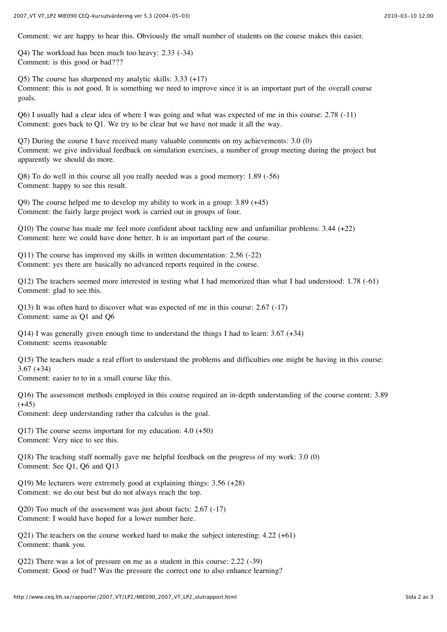Comment: we are happy to hear this. Obviously the small number of students on the course makes this easier.

Q4) The workload has been much too heavy: 2.33 (-34) Comment: is this good or bad???

Q5) The course has sharpened my analytic skills: 3.33 (+17) Comment: this is not good. It is something we need to improve since it is an important part of the overall course goals.

Q6) I usually had a clear idea of where I was going and what was expected of me in this course: 2.78 (-11) Comment: goes back to Q1. We try to be clear but we have not made it all the way.

Q7) During the course I have received many valuable comments on my achievements: 3.0 (0) Comment: we give individual feedback on simulation exercises, a number of group meeting during the project but apparently we should do more.

Q8) To do well in this course all you really needed was a good memory: 1.89 (-56) Comment: happy to see this result.

Q9) The course helped me to develop my ability to work in a group: 3.89 (+45) Comment: the fairly large project work is carried out in groups of four.

Q10) The course has made me feel more confident about tackling new and unfamiliar problems: 3.44 (+22) Comment: here we could have done better. It is an important part of the course.

Q11) The course has improved my skills in written documentation: 2.56 (-22) Comment: yes there are basically no advanced reports required in the course.

Q12) The teachers seemed more interested in testing what I had memorized than what I had understood: 1.78 (-61) Comment: glad to see this.

Q13) It was often hard to discover what was expected of me in this course: 2.67 (-17) Comment: same as Q1 and Q6

Q14) I was generally given enough time to understand the things I had to learn: 3.67 (+34) Comment: seems reasonable

Q15) The teachers made a real effort to understand the problems and difficulties one might be having in this course: 3.67 (+34)

Comment: easier to to in a small course like this.

Q16) The assessment methods employed in this course required an in-depth understanding of the course content: 3.89  $(+45)$ 

Comment: deep understanding rather tha calculus is the goal.

Q17) The course seems important for my education: 4.0 (+50) Comment: Very nice to see this.

 $Q18$ ) The teaching staff normally gave me helpful feedback on the progress of my work: 3.0 (0) Comment: See Q1, Q6 and Q13

Q19) Me lecturers were extremely good at explaining things: 3.56 (+28) Comment: we do our best but do not always reach the top.

Q20) Too much of the assessment was just about facts: 2.67 (-17) Comment: I would have hoped for a lower number here.

Q21) The teachers on the course worked hard to make the subject interesting: 4.22 (+61) Comment: thank you.

Q22) There was a lot of pressure on me as a student in this course: 2.22 (-39) Comment: Good or bad? Was the pressure the correct one to also enhance learning?